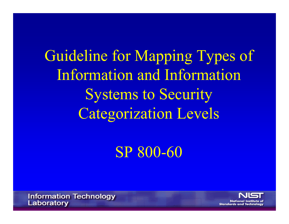Guideline for Mapping Types of Infor mation and Infor mation Systems to Security Categorization Levels

SP 800-60

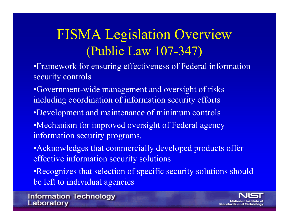## FISMA Legislation Overview (Public Law 107-347)

- •Framework for ensuring effectiveness of Federal information security controls
- •Government-wide management and oversight of risks including coordination of information security efforts
- •Development and maintenance of minimum controls
- •Mechanism for improved oversight of Federal agency information security programs.
- Acknowledges that commercially developed products offer effective information security solutions
- •Recognizes that selection of specific security solutions should be left to individual agencies

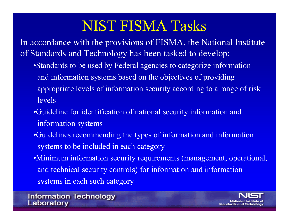### NIST FISMA Tasks

In accordance with the provisions of FISMA, the National Institute of Standards and Technology has been tasked to develop:

- •Standards to be used by Federal agencies to categorize information and information systems based on the objectives of providing appropriate levels of information security according to a range of risk levels
- •Guideline for identification of national security information and information systems
- •Guidelines recommending the types of information and information systems to be included in each category
- •Minimum information security requirements (management, operational, and technical security controls) for information and information systems in each such category

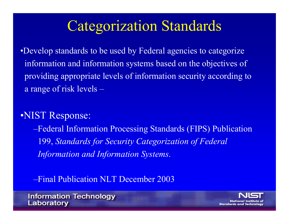### Categorization Standards

•Develop standards to be used by Federal agencies to categorize information and information systems based on the objectives of providing appropriate levels of information security according to a range of risk levels –

### •NIST Response:

–Federal Information Processing Standards (FIPS) Publication 199, *Standards for Security Categorization of Federal Information and Information Systems*.

–Final Publication NLT December 2003

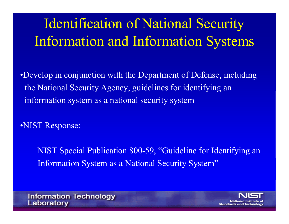## Identification of National Security Information and Information Systems

•Develop in conjunction with the Department of Defense, including the National Security Agency, guidelines for identifying an information system as a national security system

•NIST Response:

–NIST Special Publication 800-59, "Guideline for Identifying an Information System as a National Security System"

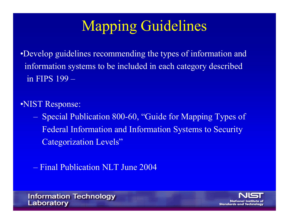## Mapping Guidelines

•Develop guidelines recommending the types of information and infor mation systems to be included in each c ategory descr ibed in FIPS 199 –

•NIST Response:

– Specia l Pub lica tion 800-60, " Guide for M app i ng Types of Federal Information and Information Systems to Security Categorization Levels ,,

– Final Publication N L T June 2004



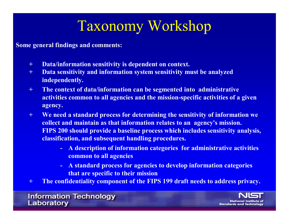## Taxonomy Workshop

**Some general findings and comments:**

- **+Data/information sensitivity is dependent on context.**
- **+ Data sensitivity and information system sensitivity must be analyzed independently.**
- **+ The context of data/information can be segmented into administrative activities common to all agencies and the mission-specific activities of a given agency.**
- **+ We need a standard process for determining the sensitivity of information we collect and maintain as that information relates to an agency's mission. FIPS 200 should provide a baseline process which includes sensitivity analysis, classification, and subsequent handling procedures.**
	- **- A description of information categories for administrative activities common to all agencies**
	- **- A standard process for agencies to develop information categories that are specific to their mission**
- **+The confidentiality component of the FIPS 199 draft needs to address privacy.**

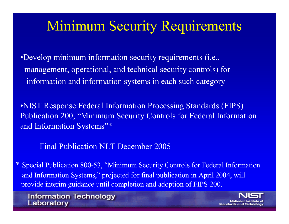### Minimum Security Requirements

•Develop minimum information security requirements (i.e., management, operational, and technical security controls) for information and information systems in each such category –

•NIST Response:Federal Information Processing Standards (FIPS) Publication 200, "Minimum Security Controls for Federal Information and Information Systems"\*

– Final Publication NLT December 2005

\* Special Publication 800-53, "Minimum Security Controls for Federal Information and Information Systems," projected for final publication in April 2004, will provide interim guidance until completion and adoption of FIPS 200.

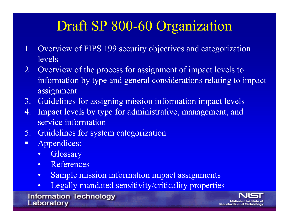### Draft SP 800-60 Organization

- 1. Overview of FIPS 199 security objectives and categorization levels
- 2. Overview of the process for assignment of impact levels to information by type and general considerations relating to impact assignment
- 3. Guidelines for assigning mission information impact levels
- 4. Impact levels by type for administrative, management, and service information
- 5. Guidelines for system categorization
- Appendices:
	- •**Glossary**
	- $\bullet$ References
	- •Sample mission information impact assignments
	- $\bullet$ Legally mandated sensitivity/criticality properties

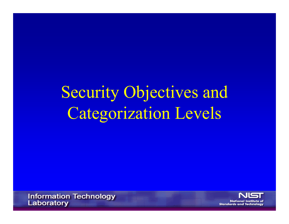# Security Objectives and Categorization Levels

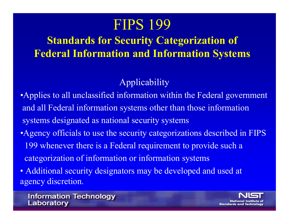### **FIPS 199**

### **Standards for Security Categorization of Federal Information and Information Systems**

### Applicability

- •Applies to all unclassified information within the Federal government and all Federal information systems other than those information systems designated as national security systems
- •Agency officials to use the security categorizations described in FIPS 199 whenever there is a Federal requirement to provide such a categorization of information or information systems
- Additional security designators may be developed and used at agency discretion.

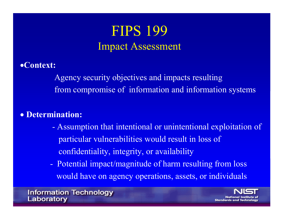### **FIPS 199** Impact Assessment

#### •**Context:**

Agency security objectives and impacts resulting from compromise of information and information systems

#### • **Determination:**

- - Assumption that intentional or unintentional exploitation of particular vulnerabilities would result in loss of confidentiality, integrity, or availability
- Potential impact/magnitude of harm resulting from loss would have on agency operations, assets, or individuals

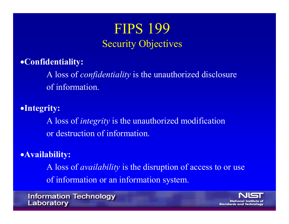### **FIPS 199** Security Objectives

### •**Confidentiality:**

A loss of *confidentiality* is the unauthorized disclosure of information.

### •**Integrity:**

A loss of *integrity* is the unauthorized modification or destruction of information.

### •**Availability:**

A loss of *availability* is the disruption of access to or use of information or an information system.

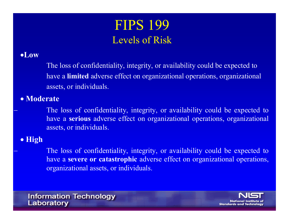### FIPS 199 Levels of Risk

#### •**Low**

The loss of confidentiality, integrity, or availability could be expected to have a **limited** adverse effect on organizational operations, organizational assets, or individuals.

#### • **Moderate**

 The loss of confidentiality, integrity, or availability could be expected to have a **serious** adverse effect on organizational operations, organizational assets, or individuals.

#### • **High**

 The loss of confidentiality, integrity, or availability could be expected to have a **severe or catastrophic** adverse effect on organizational operations, organizational assets, or individuals.

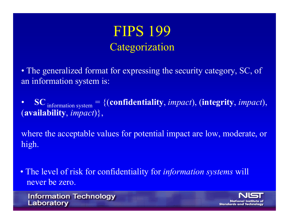### **FIPS 199** Categorization

• The generalized format for expressing the security category, SC, of an information system is:

• **SC** information system = {(**confidentiality**, *impact*), (**integrity**, *impact*), (**availability**, *impact*)},

where the acceptable values for potential impact are low, moderate, or high.

• The level of risk for confidentiality for *information systems* will never be zero.

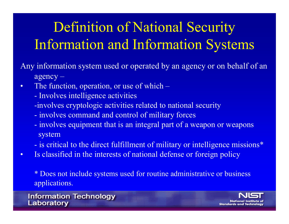## Definition of National Security Information and Information Systems

Any information system used or operated by an agency or on behalf of an agency –

- • The function, operation, or use of which –
	- **-**- Involves intelligence activities
	- -involves cryptologic activities related to national security
	- involves command and control of military forces
	- involves equipment that is an integral part of a weapon or weapons system
	- is critical to the direct fulfillment of military or intelligence missions\*
- •Is classified in the interests of national defense or foreign policy

\* Does not include systems used for routine administrative or business applications.

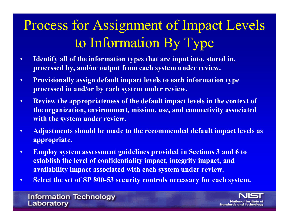## Process for Assignment of Impact Levels to Information By Type

- • **Identify all of the information types that are input into, stored in, processed by, and/or output from each system under review.**
- • **Provisionally assign default impact levels to each information type processed in and/or by each system under review.**
- • **Review the appropriateness of the default impact levels in the context of the organization, environment, mission, use, and connectivity associated with the system under review.**
- • **Adjustments should be made to the recommended default impact levels as appropriate.**
- • **Employ system assessment guidelines provided in Sections 3 and 6 to establish the level of confidentiality impact, integrity impact, and availability impact associated with each system under review.**
- •**Select the set of SP 800-53 security controls necessary for each system.**

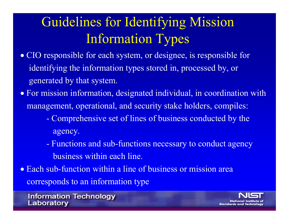## Guidelines for Ident ifying Mission Information Types

- CIO responsible for each system, or designee, is responsible for identify ing the i n formation types stored in, p rocessed by, or generated by tha t s y s tem.
- For mission information, designated individual, in coordination with managem ent, ope rational, and secur ity stake h olders, compi les:
	- Comprehensive set of l ines of business conduct ed by the agency.
	- Functions and sub-functions necessary to conduct agency business within each line.
- Each sub-function within a line of business or mission area corresponds to an information type

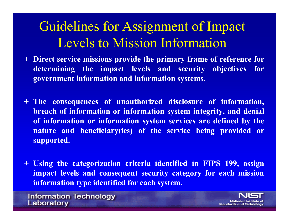### Guidelines for Assignment of Impact Levels to Mission Information

- **+ Direct service missions provide the primary frame of reference for determining the impact levels and security objectives for government information and information systems.**
- **+ The consequences of unauthorized disclosure of information, breach of information or information system integrity, and denial of information or information system services are defined by the nature and beneficiary(ies) of the service being provided or supported.**
- **+ Using the categorization criteria identified in FIPS 199, assign impact levels and consequent security category for each mission information type identified for each system.**

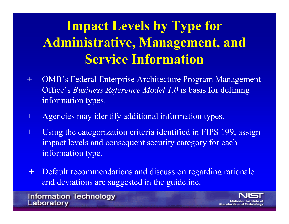## **Impact Levels by Type for Administrativ e, Management, and Service Infor mation**

- **+**+ OMB's Federal Enterprise Architecture Program Management Office's *Business Reference Model 1.0* is basis for defining information types.
- **+**+ Agencies may identify additional information types.
- **+**+ Using the categorization criteria identified in FIPS 199, assign impact lev els and conse quent security category for each information type.
- **+**+ Default recommendations and discussion regarding rationale and deviations are sugge sted in the gui deli ne.

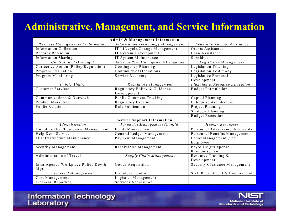### **Administrative, Management, and Service Information**

| Admin & Management Information                 |                                     |                                |
|------------------------------------------------|-------------------------------------|--------------------------------|
| Business Management of Information             | Information Technology Management   | Federal Financial Assistance   |
| Information Collection                         | IT Lifecycle/Change Management      | Grants Assistance              |
| Records Retention                              | IT System Development               | Loan Assistance                |
| Information Sharing                            | IT System Maintenance               | <b>Subsidies</b>               |
| Controls and Oversight                         | Internal Risk Management/Mitigation | Legislative Management         |
| Corrective Action (Policy/Regulation)          | Contingency Planning                | Legislation Tracking           |
| Program Evaluation                             | Continuity of Operations            | Legislation Testimony          |
| Program Monitoring                             | Service Recovery                    | Legislative Proposal           |
|                                                |                                     | Development                    |
| Public Affairs                                 | Regulatory Management               | Planning & Resource Allocation |
| Customer Services                              | Regulatory Policy & Guidance        | Budget Formulation             |
|                                                | Development                         |                                |
| $\overline{\text{Commu}}$ nications & Outreach | Public Comment Tracking             | Capital Planning               |
| Product Marketing                              | Regulatory Creation                 | Enterprise Architecture        |
| Public Relations                               | Rule Publication                    | Project Planning               |
|                                                |                                     | Strategic Planning             |
|                                                |                                     | <b>Budget Execution</b>        |
| <b>Service Support Information</b>             |                                     |                                |
| <i>Administration</i>                          | Financial Management (Cont'd)       | Human Resources                |
| Facilities/Fleet/Equipment Management          | Funds Management                    | Personnel Advancement/Rewards  |
| Help Desk Services                             | General Ledger Management           | Personnel Benefits Management  |
| IT Infrastructure Maintenance                  | Payment Management                  | Labor Management (Fed          |
|                                                |                                     | Employee)                      |
| Security Management                            | Receivables Management              | Payroll Mgt/Expense            |
|                                                |                                     | Reimbursement                  |
| Administration of Travel                       | Supply Chain Management             | Resource Training &            |
|                                                |                                     | Development                    |
| Intra-Agency Workplace Policy Dev &            | Goods Acquisition                   | Security Clearance Management  |
| M gt                                           |                                     |                                |
| Financial Management                           | Inventory Control                   | Staff Recruitment & Employment |
| Cost Management                                | Logistics Management                |                                |
| Financial Reporting                            | Services Acquisition                |                                |

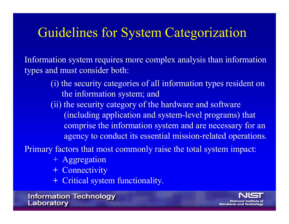### Guidelines for System Categorization

Information s ystem requires m ore complex analy sis than information types and must consider both:

> (i) the s ecurity categorie s of all information types res ident on the information system; and (ii ) the security category of the hardware and software ( i n clud ing application and system -level programs) that comprise the information system and are necessary for an agency to conduct its essential mission-related operations.

Primary factors that most commonly raise the total system impact:

- + Aggregat ion
- **+** Connectivi t y
- **+** Critical system functionality.